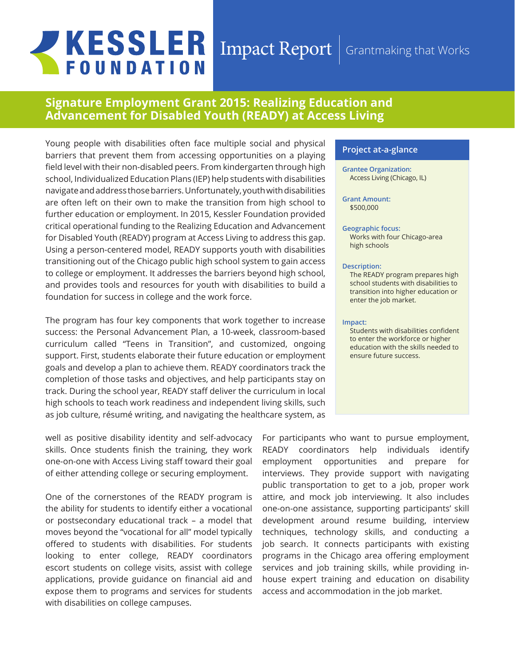# **JKESSLER FOUNDATION**

### Impact Report Grantmaking that Works

## **Signature Employment Grant 2015: Realizing Education and Advancement for Disabled Youth (READY) at Access Living**

Young people with disabilities often face multiple social and physical barriers that prevent them from accessing opportunities on a playing field level with their non-disabled peers. From kindergarten through high school, Individualized Education Plans (IEP) help students with disabilities navigate and address those barriers. Unfortunately, youth with disabilities are often left on their own to make the transition from high school to further education or employment. In 2015, Kessler Foundation provided critical operational funding to the Realizing Education and Advancement for Disabled Youth (READY) program at Access Living to address this gap. Using a person-centered model, READY supports youth with disabilities transitioning out of the Chicago public high school system to gain access to college or employment. It addresses the barriers beyond high school, and provides tools and resources for youth with disabilities to build a foundation for success in college and the work force.

The program has four key components that work together to increase success: the Personal Advancement Plan, a 10-week, classroom-based curriculum called "Teens in Transition", and customized, ongoing support. First, students elaborate their future education or employment goals and develop a plan to achieve them. READY coordinators track the completion of those tasks and objectives, and help participants stay on track. During the school year, READY staff deliver the curriculum in local high schools to teach work readiness and independent living skills, such as job culture, résumé writing, and navigating the healthcare system, as

well as positive disability identity and self-advocacy skills. Once students finish the training, they work one-on-one with Access Living staff toward their goal of either attending college or securing employment.

One of the cornerstones of the READY program is the ability for students to identify either a vocational or postsecondary educational track – a model that moves beyond the "vocational for all" model typically offered to students with disabilities. For students looking to enter college, READY coordinators escort students on college visits, assist with college applications, provide guidance on financial aid and expose them to programs and services for students with disabilities on college campuses.

#### **Project at-a-glance**

#### **Grantee Organization:** Access Living (Chicago, IL)

#### **Grant Amount:**  \$500,000

#### **Geographic focus:**

Works with four Chicago-area high schools

#### **Description:**

The READY program prepares high school students with disabilities to transition into higher education or enter the job market.

#### **Impact:**

Students with disabilities confident to enter the workforce or higher education with the skills needed to ensure future success.

For participants who want to pursue employment, READY coordinators help individuals identify employment opportunities and prepare for interviews. They provide support with navigating public transportation to get to a job, proper work attire, and mock job interviewing. It also includes one-on-one assistance, supporting participants' skill development around resume building, interview techniques, technology skills, and conducting a job search. It connects participants with existing programs in the Chicago area offering employment services and job training skills, while providing inhouse expert training and education on disability access and accommodation in the job market.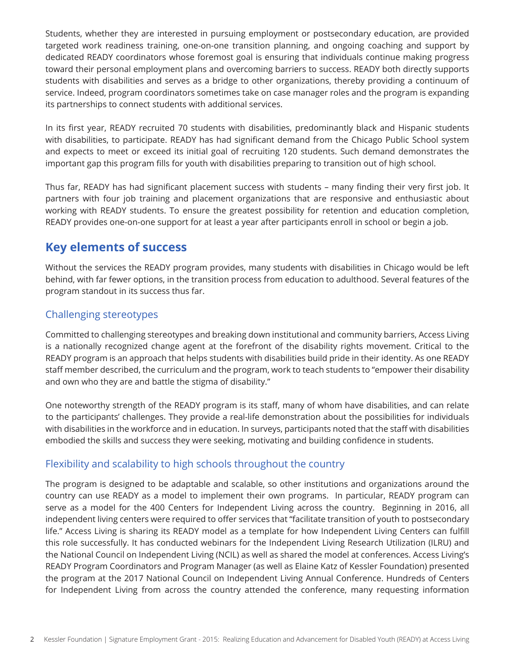Students, whether they are interested in pursuing employment or postsecondary education, are provided targeted work readiness training, one-on-one transition planning, and ongoing coaching and support by dedicated READY coordinators whose foremost goal is ensuring that individuals continue making progress toward their personal employment plans and overcoming barriers to success. READY both directly supports students with disabilities and serves as a bridge to other organizations, thereby providing a continuum of service. Indeed, program coordinators sometimes take on case manager roles and the program is expanding its partnerships to connect students with additional services.

In its first year, READY recruited 70 students with disabilities, predominantly black and Hispanic students with disabilities, to participate. READY has had significant demand from the Chicago Public School system and expects to meet or exceed its initial goal of recruiting 120 students. Such demand demonstrates the important gap this program fills for youth with disabilities preparing to transition out of high school.

Thus far, READY has had significant placement success with students – many finding their very first job. It partners with four job training and placement organizations that are responsive and enthusiastic about working with READY students. To ensure the greatest possibility for retention and education completion, READY provides one-on-one support for at least a year after participants enroll in school or begin a job.

## **Key elements of success**

Without the services the READY program provides, many students with disabilities in Chicago would be left behind, with far fewer options, in the transition process from education to adulthood. Several features of the program standout in its success thus far.

## Challenging stereotypes

Committed to challenging stereotypes and breaking down institutional and community barriers, Access Living is a nationally recognized change agent at the forefront of the disability rights movement. Critical to the READY program is an approach that helps students with disabilities build pride in their identity. As one READY staff member described, the curriculum and the program, work to teach students to "empower their disability and own who they are and battle the stigma of disability."

One noteworthy strength of the READY program is its staff, many of whom have disabilities, and can relate to the participants' challenges. They provide a real-life demonstration about the possibilities for individuals with disabilities in the workforce and in education. In surveys, participants noted that the staff with disabilities embodied the skills and success they were seeking, motivating and building confidence in students.

## Flexibility and scalability to high schools throughout the country

The program is designed to be adaptable and scalable, so other institutions and organizations around the country can use READY as a model to implement their own programs. In particular, READY program can serve as a model for the 400 Centers for Independent Living across the country. Beginning in 2016, all independent living centers were required to offer services that "facilitate transition of youth to postsecondary life." Access Living is sharing its READY model as a template for how Independent Living Centers can fulfill this role successfully. It has conducted webinars for the Independent Living Research Utilization (ILRU) and the National Council on Independent Living (NCIL) as well as shared the model at conferences. Access Living's READY Program Coordinators and Program Manager (as well as Elaine Katz of Kessler Foundation) presented the program at the 2017 National Council on Independent Living Annual Conference. Hundreds of Centers for Independent Living from across the country attended the conference, many requesting information